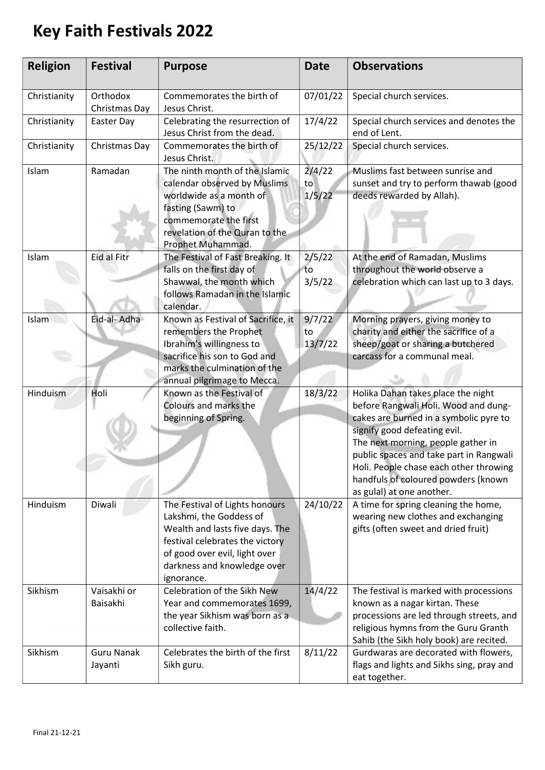## Key Faith Festivals 2022

| <b>Religion</b> | <b>Festival</b>              | <b>Purpose</b>                                                                                                                                                                                                | <b>Date</b>             | <b>Observations</b>                                                                                                                                                                                                                                                                                                                                 |
|-----------------|------------------------------|---------------------------------------------------------------------------------------------------------------------------------------------------------------------------------------------------------------|-------------------------|-----------------------------------------------------------------------------------------------------------------------------------------------------------------------------------------------------------------------------------------------------------------------------------------------------------------------------------------------------|
| Christianity    | Orthodox<br>Christmas Day    | Commemorates the birth of<br>Jesus Christ.                                                                                                                                                                    | 07/01/22                | Special church services.                                                                                                                                                                                                                                                                                                                            |
| Christianity    | Easter Day                   | Celebrating the resurrection of<br>Jesus Christ from the dead.                                                                                                                                                | 17/4/22                 | Special church services and denotes the<br>end of Lent.                                                                                                                                                                                                                                                                                             |
| Christianity    | Christmas Day                | Commemorates the birth of<br>Jesus Christ.                                                                                                                                                                    | 25/12/22                | Special church services.                                                                                                                                                                                                                                                                                                                            |
| Islam           | Ramadan                      | The ninth month of the Islamic<br>calendar observed by Muslims<br>worldwide as a month of<br>fasting (Sawm) to<br>commemorate the first<br>revelation of the Quran to the<br>Prophet Muhammad.                | 2/4/22<br>to<br>1/5/22  | Muslims fast between sunrise and<br>sunset and try to perform thawab (good<br>deeds rewarded by Allah).                                                                                                                                                                                                                                             |
| Islam           | <b>Eid al Fitr</b>           | The Festival of Fast Breaking. It<br>falls on the first day of<br>Shawwal, the month which<br>follows Ramadan in the Islamic<br>calendar.                                                                     | 2/5/22<br>to<br>3/5/22  | At the end of Ramadan, Muslims<br>throughout the world observe a<br>celebration which can last up to 3 days.                                                                                                                                                                                                                                        |
| Islam           | Eid-al- Adha                 | Known as Festival of Sacrifice, it<br>remembers the Prophet<br>Ibrahim's willingness to<br>sacrifice his son to God and<br>marks the culmination of the<br>annual pilgrimage to Mecca.                        | 9/7/22<br>to<br>13/7/22 | Morning prayers, giving money to<br>charity and either the sacrifice of a<br>sheep/goat or sharing a butchered<br>carcass for a communal meal.                                                                                                                                                                                                      |
| Hinduism        | Holi                         | Known as the Festival of<br>Colours and marks the<br>beginning of Spring.                                                                                                                                     | 18/3/22                 | Holika Dahan takes place the night<br>before Rangwali Holi. Wood and dung-<br>cakes are burned in a symbolic pyre to<br>signify good defeating evil.<br>The next morning, people gather in<br>public spaces and take part in Rangwali<br>Holi. People chase each other throwing<br>handfuls of coloured powders (known<br>as gulal) at one another. |
| Hinduism        | Diwali                       | The Festival of Lights honours<br>Lakshmi, the Goddess of<br>Wealth and lasts five days. The<br>festival celebrates the victory<br>of good over evil, light over<br>darkness and knowledge over<br>ignorance. | 24/10/22                | A time for spring cleaning the home,<br>wearing new clothes and exchanging<br>gifts (often sweet and dried fruit)                                                                                                                                                                                                                                   |
| Sikhism         | Vaisakhi or<br>Baisakhi      | Celebration of the Sikh New<br>Year and commemorates 1699,<br>the year Sikhism was born as a<br>collective faith.                                                                                             | 14/4/22                 | The festival is marked with processions<br>known as a nagar kirtan. These<br>processions are led through streets, and<br>religious hymns from the Guru Granth<br>Sahib (the Sikh holy book) are recited.                                                                                                                                            |
| Sikhism         | <b>Guru Nanak</b><br>Jayanti | Celebrates the birth of the first<br>Sikh guru.                                                                                                                                                               | 8/11/22                 | Gurdwaras are decorated with flowers,<br>flags and lights and Sikhs sing, pray and<br>eat together.                                                                                                                                                                                                                                                 |